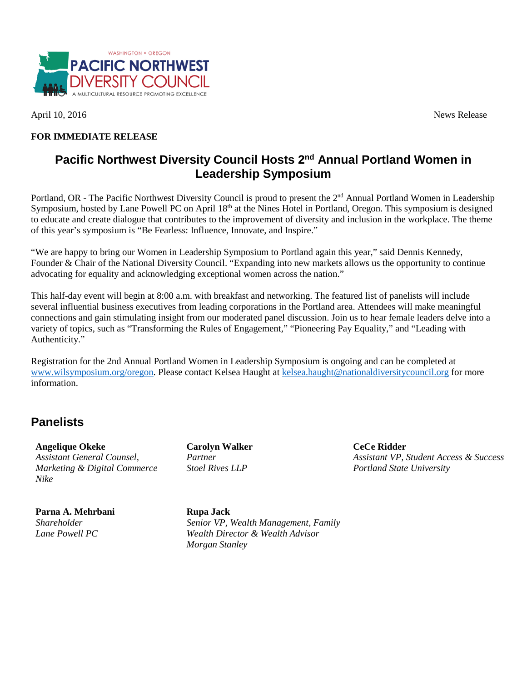

April 10, 2016 News Release

### **FOR IMMEDIATE RELEASE**

## **Pacific Northwest Diversity Council Hosts 2nd Annual Portland Women in Leadership Symposium**

Portland, OR - The Pacific Northwest Diversity Council is proud to present the 2<sup>nd</sup> Annual Portland Women in Leadership Symposium, hosted by Lane Powell PC on April 18<sup>th</sup> at the Nines Hotel in Portland, Oregon. This symposium is designed to educate and create dialogue that contributes to the improvement of diversity and inclusion in the workplace. The theme of this year's symposium is "Be Fearless: Influence, Innovate, and Inspire."

"We are happy to bring our Women in Leadership Symposium to Portland again this year," said Dennis Kennedy, Founder & Chair of the National Diversity Council. "Expanding into new markets allows us the opportunity to continue advocating for equality and acknowledging exceptional women across the nation."

This half-day event will begin at 8:00 a.m. with breakfast and networking. The featured list of panelists will include several influential business executives from leading corporations in the Portland area. Attendees will make meaningful connections and gain stimulating insight from our moderated panel discussion. Join us to hear female leaders delve into a variety of topics, such as "Transforming the Rules of Engagement," "Pioneering Pay Equality," and "Leading with Authenticity."

Registration for the 2nd Annual Portland Women in Leadership Symposium is ongoing and can be completed at [www.wilsymposium.org/oregon.](http://wilsymposium.com/2017-symposiums/2017-portland/) Please contact Kelsea Haught at [kelsea.haught@nationaldiversitycouncil.org](mailto:kelsea.haught@nationaldiversitycouncil.org) for more information.

# **Panelists**

**Angelique Okeke** *Assistant General Counsel, Marketing & Digital Commerce Nike*

**Parna A. Mehrbani** *Shareholder Lane Powell PC*

**Carolyn Walker** *Partner Stoel Rives LLP*

**CeCe Ridder** *Assistant VP, Student Access & Success Portland State University*

**Rupa Jack** *Senior VP, Wealth Management, Family Wealth Director & Wealth Advisor Morgan Stanley*